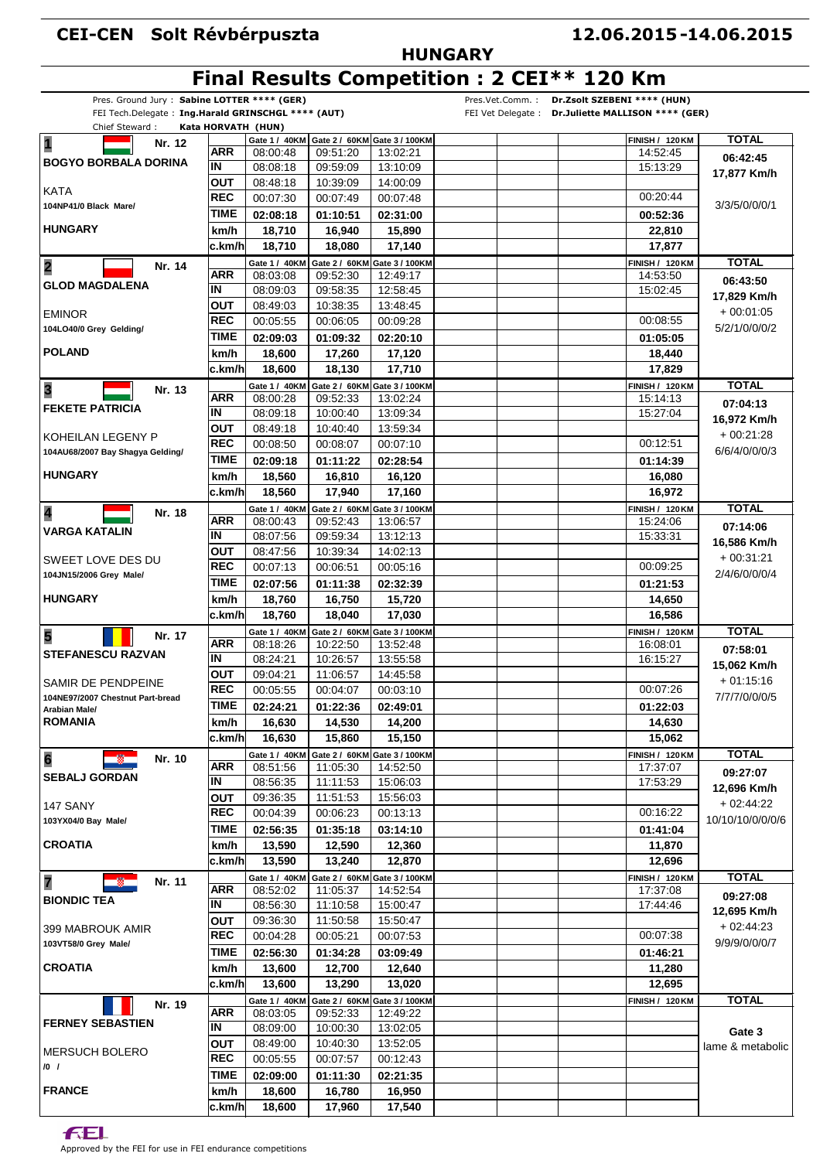### **CEI-CEN Solt Révbérpuszta**

### **HUNGARY**

# **Final Results Competition : 2 CEI\*\* 120 Km**

| Pres. Ground Jury: Sabine LOTTER **** (GER)<br>FEI Tech.Delegate: Ing.Harald GRINSCHGL **** (AUT)<br>Chief Steward: | Kata HORVATH (HUN) |                           |                      |                                            | Pres.Vet.Comm.: | Dr.Zsolt SZEBENI **** (HUN)<br>FEI Vet Delegate : Dr.Juliette MALLISON **** (GER) |                  |
|---------------------------------------------------------------------------------------------------------------------|--------------------|---------------------------|----------------------|--------------------------------------------|-----------------|-----------------------------------------------------------------------------------|------------------|
|                                                                                                                     |                    |                           |                      | Gate 1 / 40KM Gate 2 / 60KM Gate 3 / 100KM |                 | <b>FINISH / 120 KM</b>                                                            | <b>TOTAL</b>     |
| $\overline{\mathbf{1}}$<br>Nr. 12                                                                                   | <b>ARR</b>         | 08:00:48                  | 09:51:20             | 13:02:21                                   |                 | 14:52:45                                                                          | 06:42:45         |
| <b>BOGYO BORBALA DORINA</b>                                                                                         | İΝ                 | 08:08:18                  | 09:59:09             | 13:10:09                                   |                 | 15:13:29                                                                          |                  |
|                                                                                                                     | <b>OUT</b>         | 08:48:18                  | 10:39:09             | 14:00:09                                   |                 |                                                                                   | 17,877 Km/h      |
| KATA                                                                                                                | <b>REC</b>         | 00:07:30                  | 00:07:49             | 00:07:48                                   |                 | 00:20:44                                                                          |                  |
| 104NP41/0 Black Mare/                                                                                               | <b>TIME</b>        | 02:08:18                  | 01:10:51             | 02:31:00                                   |                 | 00:52:36                                                                          | 3/3/5/0/0/0/1    |
| <b>HUNGARY</b>                                                                                                      | km/h               | 18,710                    | 16,940               | 15,890                                     |                 | 22,810                                                                            |                  |
|                                                                                                                     | c.km/hl            | 18,710                    | 18,080               | 17,140                                     |                 | 17,877                                                                            |                  |
|                                                                                                                     |                    | Gate 1 / 40KM             |                      | Gate 2 / 60KM Gate 3 / 100KM               |                 | <b>FINISH / 120 KM</b>                                                            | <b>TOTAL</b>     |
| $\overline{\mathbf{2}}$<br>Nr. 14                                                                                   | ARR                | 08:03:08                  | 09:52:30             | 12:49:17                                   |                 | 14:53:50                                                                          |                  |
| <b>GLOD MAGDALENA</b>                                                                                               | ΙN                 | 08:09:03                  | 09:58:35             | 12:58:45                                   |                 | 15:02:45                                                                          | 06:43:50         |
|                                                                                                                     | <b>OUT</b>         | 08:49:03                  | 10:38:35             | 13:48:45                                   |                 |                                                                                   | 17,829 Km/h      |
| <b>EMINOR</b>                                                                                                       | <b>REC</b>         | 00:05:55                  | 00:06:05             | 00:09:28                                   |                 | 00:08:55                                                                          | $+00:01:05$      |
| 104LO40/0 Grey Gelding/                                                                                             | <b>TIME</b>        | 02:09:03                  | 01:09:32             | 02:20:10                                   |                 | 01:05:05                                                                          | 5/2/1/0/0/0/2    |
| <b>POLAND</b>                                                                                                       | km/h               |                           |                      |                                            |                 |                                                                                   |                  |
|                                                                                                                     |                    | 18,600                    | 17,260               | 17,120                                     |                 | 18,440                                                                            |                  |
|                                                                                                                     | c.km/hl            | 18,600                    | 18,130               | 17,710                                     |                 | 17,829                                                                            |                  |
| $\overline{\mathbf{3}}$<br>Nr. 13                                                                                   | <b>ARR</b>         | Gate 1 / 40KM<br>08:00:28 | 09:52:33             | Gate 2 / 60KM Gate 3 / 100KM<br>13:02:24   |                 | <b>FINISH / 120 KM</b><br>15:14:13                                                | <b>TOTAL</b>     |
| <b>FEKETE PATRICIA</b>                                                                                              | ΙN                 | 08:09:18                  | 10:00:40             | 13:09:34                                   |                 | 15:27:04                                                                          | 07:04:13         |
|                                                                                                                     | <b>OUT</b>         |                           |                      |                                            |                 |                                                                                   | 16,972 Km/h      |
| KOHEILAN LEGENY P                                                                                                   | <b>REC</b>         | 08:49:18<br>00:08:50      | 10:40:40<br>00:08:07 | 13:59:34                                   |                 | 00:12:51                                                                          | $+00:21:28$      |
| 104AU68/2007 Bay Shagya Gelding/                                                                                    | <b>TIME</b>        |                           |                      | 00:07:10                                   |                 |                                                                                   | 6/6/4/0/0/0/3    |
|                                                                                                                     |                    | 02:09:18                  | 01:11:22             | 02:28:54                                   |                 | 01:14:39                                                                          |                  |
| <b>HUNGARY</b>                                                                                                      | km/h               | 18,560                    | 16,810               | 16,120                                     |                 | 16,080                                                                            |                  |
|                                                                                                                     | c.km/h             | 18,560                    | 17,940               | 17,160                                     |                 | 16,972                                                                            |                  |
| $\overline{\mathbf{4}}$<br>Nr. 18                                                                                   |                    | Gate 1 / 40KM             |                      | Gate 2 / 60KM Gate 3 / 100KM               |                 | <b>FINISH / 120 KM</b>                                                            | <b>TOTAL</b>     |
| <b>VARGA KATALIN</b>                                                                                                | ARR                | 08:00:43                  | 09:52:43             | 13:06:57                                   |                 | 15:24:06                                                                          | 07:14:06         |
|                                                                                                                     | ΙN                 | 08:07:56                  | 09:59:34             | 13:12:13                                   |                 | 15:33:31                                                                          | 16,586 Km/h      |
| SWEET LOVE DES DU                                                                                                   | ΟUΤ                | 08:47:56                  | 10:39:34             | 14:02:13                                   |                 |                                                                                   | $+00:31:21$      |
| 104JN15/2006 Grey Male/                                                                                             | <b>REC</b>         | 00:07:13                  | 00:06:51             | 00:05:16                                   |                 | 00:09:25                                                                          | 2/4/6/0/0/0/4    |
|                                                                                                                     | <b>TIME</b>        | 02:07:56                  | 01:11:38             | 02:32:39                                   |                 | 01:21:53                                                                          |                  |
| <b>HUNGARY</b>                                                                                                      | km/h               | 18,760                    | 16,750               | 15,720                                     |                 | 14,650                                                                            |                  |
|                                                                                                                     | c.km/h             | 18,760                    | 18,040               | 17,030                                     |                 | 16,586                                                                            |                  |
| 5<br>Nr. 17                                                                                                         |                    | Gate 1 / 40KM             |                      | Gate 2 / 60KM Gate 3 / 100KM               |                 | <b>FINISH / 120 KM</b>                                                            | <b>TOTAL</b>     |
| <b>STEFANESCU RAZVAN</b>                                                                                            | <b>ARR</b>         | 08:18:26                  | 10:22:50             | 13:52:48                                   |                 | 16:08:01                                                                          | 07:58:01         |
|                                                                                                                     | ΙN                 | 08:24:21                  | 10:26:57             | 13:55:58                                   |                 | 16:15:27                                                                          | 15,062 Km/h      |
| SAMIR DE PENDPEINE                                                                                                  | <b>OUT</b>         | 09:04:21                  | 11:06:57             | 14:45:58                                   |                 |                                                                                   | $+01:15:16$      |
| 104NE97/2007 Chestnut Part-bread                                                                                    | <b>REC</b>         | 00:05:55                  | 00:04:07             | 00:03:10                                   |                 | 00:07:26                                                                          | 7/7/7/0/0/0/5    |
| Arabian Male/                                                                                                       |                    | TIME 02:24:21             | 01:22:36             | 02:49:01                                   |                 | 01:22:03                                                                          |                  |
| <b>ROMANIA</b>                                                                                                      | km/h               | 16,630                    | 14,530               | 14,200                                     |                 | 14,630                                                                            |                  |
|                                                                                                                     | c.km/hl            | 16,630                    | 15,860               | 15,150                                     |                 | 15.062                                                                            |                  |
| $6\phantom{a}$<br>Nr. 10                                                                                            |                    | Gate 1 / 40KM             |                      | Gate 2 / 60KM Gate 3 / 100KM               |                 | <b>FINISH / 120 KM</b>                                                            | <b>TOTAL</b>     |
|                                                                                                                     | ARR                | 08:51:56                  | 11:05:30             | 14:52:50                                   |                 | 17:37:07                                                                          | 09:27:07         |
| <b>SEBALJ GORDAN</b>                                                                                                | IN                 | 08:56:35                  | 11:11:53             | 15:06:03                                   |                 | 17:53:29                                                                          | 12,696 Km/h      |
| 147 SANY                                                                                                            | ΟUΤ                | 09:36:35                  | 11:51:53             | 15:56:03                                   |                 |                                                                                   | $+02:44:22$      |
| 103YX04/0 Bay Male/                                                                                                 | <b>REC</b>         | 00:04:39                  | 00:06:23             | 00:13:13                                   |                 | 00:16:22                                                                          | 10/10/10/0/0/0/6 |
|                                                                                                                     | TIME               | 02:56:35                  | 01:35:18             | 03:14:10                                   |                 | 01:41:04                                                                          |                  |
| <b>CROATIA</b>                                                                                                      | km/h               | 13,590                    | 12,590               | 12,360                                     |                 | 11,870                                                                            |                  |
|                                                                                                                     | c.km/hl            | 13,590                    | 13,240               | 12.870                                     |                 | 12,696                                                                            |                  |
| 7<br>Nr. 11                                                                                                         |                    | Gate 1 / 40KM             |                      | Gate 2 / 60KM Gate 3 / 100KM               |                 | <b>FINISH / 120 KM</b>                                                            | <b>TOTAL</b>     |
|                                                                                                                     | <b>ARR</b>         | 08:52:02                  | 11:05:37             | 14:52:54                                   |                 | 17:37:08                                                                          | 09:27:08         |
| <b>BIONDIC TEA</b>                                                                                                  | IN                 | 08:56:30                  | 11:10:58             | 15:00:47                                   |                 | 17:44:46                                                                          | 12,695 Km/h      |
|                                                                                                                     | ΟUΤ                | 09:36:30                  | 11:50:58             | 15:50:47                                   |                 |                                                                                   | $+02:44:23$      |
| 399 MABROUK AMIR                                                                                                    | <b>REC</b>         | 00:04:28                  | 00:05:21             | 00:07:53                                   |                 | 00:07:38                                                                          |                  |
| 103VT58/0 Grey Male/                                                                                                | <b>TIME</b>        | 02:56:30                  | 01:34:28             | 03:09:49                                   |                 | 01:46:21                                                                          | 9/9/9/0/0/0/7    |
| <b>CROATIA</b>                                                                                                      | km/h               | 13,600                    | 12,700               | 12,640                                     |                 | 11,280                                                                            |                  |
|                                                                                                                     | c.km/hl            | 13,600                    | 13,290               | 13,020                                     |                 | 12,695                                                                            |                  |
| Nr. 19                                                                                                              |                    | Gate 1 / 40KM             |                      | Gate 2 / 60KM Gate 3 / 100KM               |                 | <b>FINISH / 120 KM</b>                                                            | <b>TOTAL</b>     |
|                                                                                                                     | ARR                | 08:03:05                  | 09:52:33             | 12:49:22                                   |                 |                                                                                   |                  |
| <b>FERNEY SEBASTIEN</b>                                                                                             | IN                 | 08:09:00                  | 10:00:30             | 13:02:05                                   |                 |                                                                                   | Gate 3           |
|                                                                                                                     | ΟUΤ                | 08:49:00                  | 10:40:30             | 13:52:05                                   |                 |                                                                                   | lame & metabolic |
| <b>MERSUCH BOLERO</b>                                                                                               | <b>REC</b>         | 00:05:55                  | 00:07:57             | 00:12:43                                   |                 |                                                                                   |                  |
| $/0$ /                                                                                                              | <b>TIME</b>        | 02:09:00                  | 01:11:30             | 02:21:35                                   |                 |                                                                                   |                  |
| <b>FRANCE</b>                                                                                                       | km/h               | 18,600                    | 16,780               | 16,950                                     |                 |                                                                                   |                  |
|                                                                                                                     | c.km/h             | 18,600                    | 17,960               | 17,540                                     |                 |                                                                                   |                  |

**FEL** 

Approved by the FEI for use in FEI endurance competitions